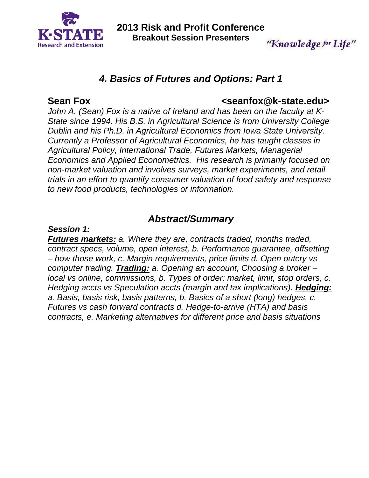

**2013 Risk and Profit Conference Breakout Session Presenters**  "Knowledge for Life"

# *4. Basics of Futures and Options: Part 1*

### Sean Fox **Construction Construction Construction Construction Construction Construction Construction Construction**

*John A. (Sean) Fox is a native of Ireland and has been on the faculty at K-State since 1994. His B.S. in Agricultural Science is from University College Dublin and his Ph.D. in Agricultural Economics from Iowa State University. Currently a Professor of Agricultural Economics, he has taught classes in Agricultural Policy, International Trade, Futures Markets, Managerial Economics and Applied Econometrics. His research is primarily focused on non-market valuation and involves surveys, market experiments, and retail trials in an effort to quantify consumer valuation of food safety and response to new food products, technologies or information.* 

## *Abstract/Summary*

#### *Session 1:*

*Futures markets: a. Where they are, contracts traded, months traded, contract specs, volume, open interest, b. Performance guarantee, offsetting – how those work, c. Margin requirements, price limits d. Open outcry vs computer trading. Trading: a. Opening an account, Choosing a broker – local vs online, commissions, b. Types of order: market, limit, stop orders, c. Hedging accts vs Speculation accts (margin and tax implications). Hedging: a. Basis, basis risk, basis patterns, b. Basics of a short (long) hedges, c. Futures vs cash forward contracts d. Hedge-to-arrive (HTA) and basis contracts, e. Marketing alternatives for different price and basis situations*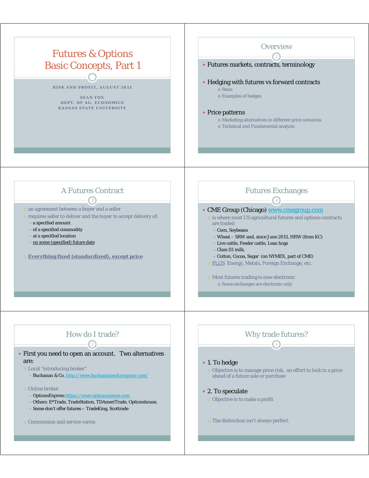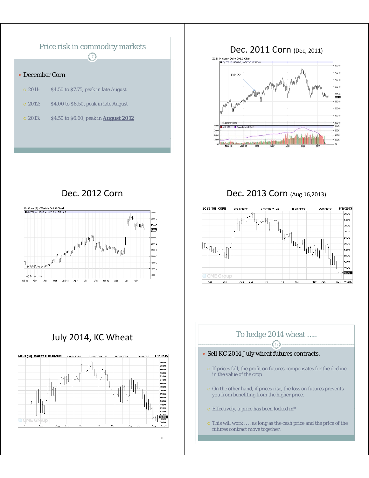

#### Dec. 2011 Corn (Dec, 2011)





Dec. 2012 Corn Dec. 2013 Corn (Aug 16,2013)



## July 2014, KC Wheat



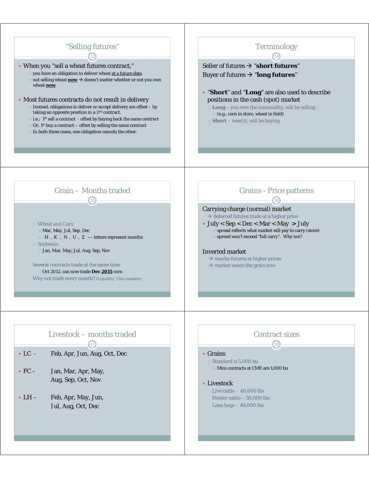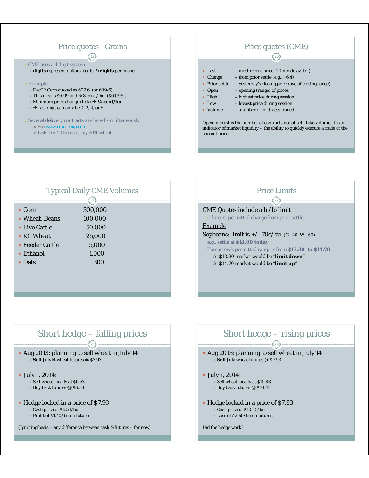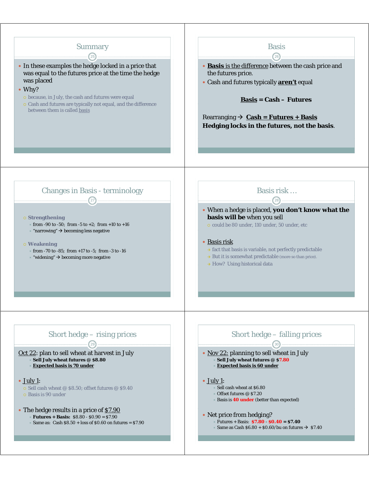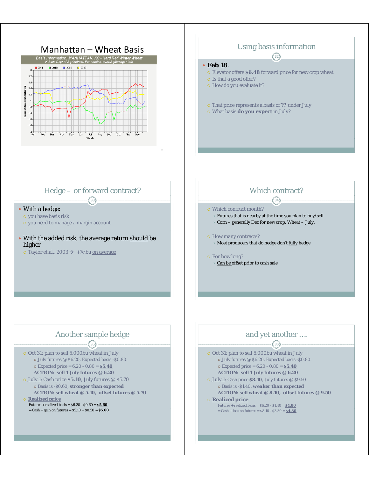